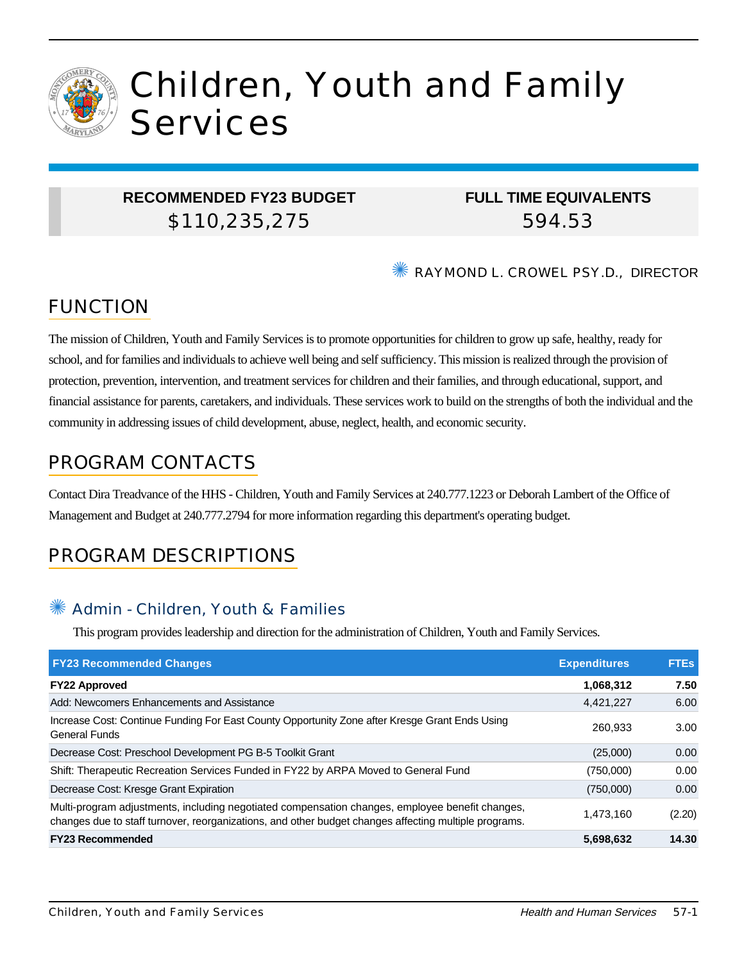

# Children, Youth and Family Services

## **RECOMMENDED FY23 BUDGET** \$110,235,275

## **FULL TIME EQUIVALENTS** 594.53

✺ RAYMOND L. CROWEL PSY.D., DIRECTOR

# FUNCTION

The mission of Children, Youth and Family Services is to promote opportunities for children to grow up safe, healthy, ready for school, and for families and individuals to achieve well being and self sufficiency. This mission is realized through the provision of protection, prevention, intervention, and treatment services for children and their families, and through educational, support, and financial assistance for parents, caretakers, and individuals. These services work to build on the strengths of both the individual and the community in addressing issues of child development, abuse, neglect, health, and economic security.

# PROGRAM CONTACTS

Contact Dira Treadvance of the HHS - Children, Youth and Family Services at 240.777.1223 or Deborah Lambert of the Office of Management and Budget at 240.777.2794 for more information regarding this department's operating budget.

# PROGRAM DESCRIPTIONS

## Admin - Children, Youth & Families

This program provides leadership and direction for the administration of Children, Youth and Family Services.

| <b>FY23 Recommended Changes</b>                                                                                                                                                                          | <b>Expenditures</b> | <b>FTEs</b> |
|----------------------------------------------------------------------------------------------------------------------------------------------------------------------------------------------------------|---------------------|-------------|
| <b>FY22 Approved</b>                                                                                                                                                                                     | 1,068,312           | 7.50        |
| Add: Newcomers Enhancements and Assistance                                                                                                                                                               | 4,421,227           | 6.00        |
| Increase Cost: Continue Funding For East County Opportunity Zone after Kresge Grant Ends Using<br><b>General Funds</b>                                                                                   | 260.933             | 3.00        |
| Decrease Cost: Preschool Development PG B-5 Toolkit Grant                                                                                                                                                | (25,000)            | 0.00        |
| Shift: Therapeutic Recreation Services Funded in FY22 by ARPA Moved to General Fund                                                                                                                      | (750,000)           | 0.00        |
| Decrease Cost: Kresge Grant Expiration                                                                                                                                                                   | (750,000)           | 0.00        |
| Multi-program adjustments, including negotiated compensation changes, employee benefit changes,<br>changes due to staff turnover, reorganizations, and other budget changes affecting multiple programs. | 1.473.160           | (2.20)      |
| <b>FY23 Recommended</b>                                                                                                                                                                                  | 5,698,632           | 14.30       |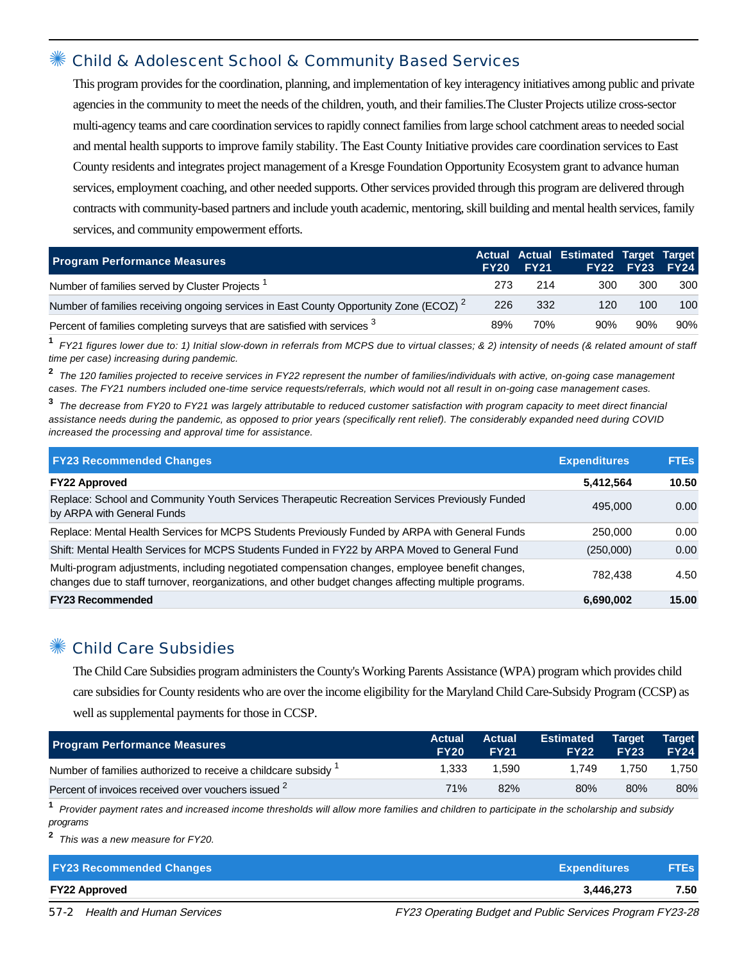#### ✺ Child & Adolescent School & Community Based Services

This program provides for the coordination, planning, and implementation of key interagency initiatives among public and private agencies in the community to meet the needs of the children, youth, and their families.The Cluster Projects utilize cross-sector multi-agency teams and care coordination services to rapidly connect families from large school catchment areas to needed social and mental health supports to improve family stability. The East County Initiative provides care coordination services to East County residents and integrates project management of a Kresge Foundation Opportunity Ecosystem grant to advance human services, employment coaching, and other needed supports. Other services provided through this program are delivered through contracts with community-based partners and include youth academic, mentoring, skill building and mental health services, family services, and community empowerment efforts.

| <b>Program Performance Measures</b>                                                               |      | <b>FY20 FY21</b> | Actual Actual Estimated Target Target | <b>FY22 FY23</b> | <b>FY24</b> |
|---------------------------------------------------------------------------------------------------|------|------------------|---------------------------------------|------------------|-------------|
| Number of families served by Cluster Projects <sup>1</sup>                                        | 273. | 214              | 300                                   | 300              | 300         |
| Number of families receiving ongoing services in East County Opportunity Zone (ECOZ) <sup>2</sup> | 226  | 332              | 120                                   | 100              | 100         |
| Percent of families completing surveys that are satisfied with services <sup>3</sup>              | 89%  | 70%              | 90%                                   | 90%              | 90%         |

**1** FY21 figures lower due to: 1) Initial slow-down in referrals from MCPS due to virtual classes; & 2) intensity of needs (& related amount of staff time per case) increasing during pandemic.

**2** The 120 families projected to receive services in FY22 represent the number of families/individuals with active, on-going case management cases. The FY21 numbers included one-time service requests/referrals, which would not all result in on-going case management cases.

**3** The decrease from FY20 to FY21 was largely attributable to reduced customer satisfaction with program capacity to meet direct financial assistance needs during the pandemic, as opposed to prior years (specifically rent relief). The considerably expanded need during COVID increased the processing and approval time for assistance.

| <b>FY23 Recommended Changes</b>                                                                                                                                                                          | <b>Expenditures</b> | <b>FTES</b> |
|----------------------------------------------------------------------------------------------------------------------------------------------------------------------------------------------------------|---------------------|-------------|
| <b>FY22 Approved</b>                                                                                                                                                                                     | 5,412,564           | 10.50       |
| Replace: School and Community Youth Services Therapeutic Recreation Services Previously Funded<br>by ARPA with General Funds                                                                             | 495,000             | 0.00        |
| Replace: Mental Health Services for MCPS Students Previously Funded by ARPA with General Funds                                                                                                           | 250,000             | 0.00        |
| Shift: Mental Health Services for MCPS Students Funded in FY22 by ARPA Moved to General Fund                                                                                                             | (250,000)           | 0.00        |
| Multi-program adjustments, including negotiated compensation changes, employee benefit changes,<br>changes due to staff turnover, reorganizations, and other budget changes affecting multiple programs. | 782.438             | 4.50        |
| <b>FY23 Recommended</b>                                                                                                                                                                                  | 6,690,002           | 15.00       |

#### ✺ Child Care Subsidies

The Child Care Subsidies program administers the County's Working Parents Assistance (WPA) program which provides child care subsidies for County residents who are over the income eligibility for the Maryland Child Care-Subsidy Program (CCSP) as well as supplemental payments for those in CCSP.

| <b>Program Performance Measures</b>                            | <b>Actual</b><br><b>FY20</b> | <b>Actual</b><br><b>FY21</b> | <b>Estimated</b><br><b>FY22</b> | <b>Target</b><br><b>FY23</b> | <b>Target</b><br><b>FY24</b> |
|----------------------------------------------------------------|------------------------------|------------------------------|---------------------------------|------------------------------|------------------------------|
| Number of families authorized to receive a childcare subsidy 1 | 1.333                        | 1.590                        | 1.749                           | 1.750                        | 1.750                        |
| Percent of invoices received over vouchers issued <sup>2</sup> | 71%                          | 82%                          | 80%                             | 80%                          | 80%                          |

**1** Provider payment rates and increased income thresholds will allow more families and children to participate in the scholarship and subsidy programs

**2** This was a new measure for FY20.

| <b>FY23 Recommended Changes</b> | Expenditures | <b>FTEs</b> |
|---------------------------------|--------------|-------------|
| <b>FY22 Approved</b>            | 3.446.273    | 7.50        |

57-2 Health and Human Services FREE FREE FY23 Operating Budget and Public Services Program FY23-28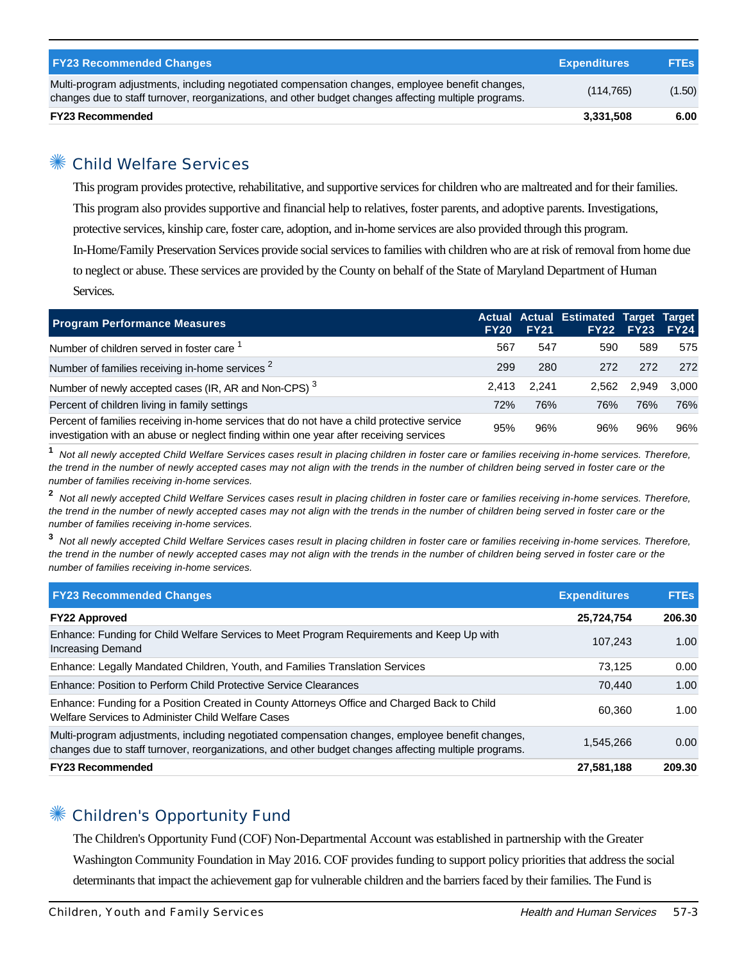| <b>FY23 Recommended Changes</b>                                                                                                                                                                          | <b>Expenditures</b> | <b>FTEs</b> |
|----------------------------------------------------------------------------------------------------------------------------------------------------------------------------------------------------------|---------------------|-------------|
| Multi-program adjustments, including negotiated compensation changes, employee benefit changes,<br>changes due to staff turnover, reorganizations, and other budget changes affecting multiple programs. | (114, 765)          | (1.50)      |
| <b>FY23 Recommended</b>                                                                                                                                                                                  | 3,331,508           | 6.00        |

## Child Welfare Services

This program provides protective, rehabilitative, and supportive services for children who are maltreated and for their families. This program also provides supportive and financial help to relatives, foster parents, and adoptive parents. Investigations, protective services, kinship care, foster care, adoption, and in-home services are also provided through this program. In-Home/Family Preservation Services provide social services to families with children who are at risk of removal from home due to neglect or abuse. These services are provided by the County on behalf of the State of Maryland Department of Human Services.

| <b>Program Performance Measures</b>                                                                                                                                                   | <b>FY20</b> | <b>FY21</b> | Actual Actual Estimated Target Target | <b>FY22 FY23</b> | <b>FY24</b> |
|---------------------------------------------------------------------------------------------------------------------------------------------------------------------------------------|-------------|-------------|---------------------------------------|------------------|-------------|
| Number of children served in foster care 1                                                                                                                                            | 567         | 547         | 590                                   | 589              | 575         |
| Number of families receiving in-home services <sup>2</sup>                                                                                                                            | 299         | 280         | 272                                   | 272              | 272         |
| Number of newly accepted cases (IR, AR and Non-CPS) <sup>3</sup>                                                                                                                      | 2.413       | 2.241       | 2.562                                 | 2.949            | 3.000       |
| Percent of children living in family settings                                                                                                                                         | 72%         | 76%         | 76%                                   | 76%              | 76%         |
| Percent of families receiving in-home services that do not have a child protective service<br>investigation with an abuse or neglect finding within one year after receiving services | 95%         | 96%         | 96%                                   | 96%              | 96%         |

**1** Not all newly accepted Child Welfare Services cases result in placing children in foster care or families receiving in-home services. Therefore, the trend in the number of newly accepted cases may not align with the trends in the number of children being served in foster care or the number of families receiving in-home services.

**2** Not all newly accepted Child Welfare Services cases result in placing children in foster care or families receiving in-home services. Therefore, the trend in the number of newly accepted cases may not align with the trends in the number of children being served in foster care or the number of families receiving in-home services.

**3** Not all newly accepted Child Welfare Services cases result in placing children in foster care or families receiving in-home services. Therefore, the trend in the number of newly accepted cases may not align with the trends in the number of children being served in foster care or the number of families receiving in-home services.

| <b>FY23 Recommended Changes</b>                                                                                                                                                                          | <b>Expenditures</b> | <b>FTEs</b> |
|----------------------------------------------------------------------------------------------------------------------------------------------------------------------------------------------------------|---------------------|-------------|
| <b>FY22 Approved</b>                                                                                                                                                                                     | 25,724,754          | 206.30      |
| Enhance: Funding for Child Welfare Services to Meet Program Requirements and Keep Up with<br>Increasing Demand                                                                                           | 107.243             | 1.00        |
| Enhance: Legally Mandated Children, Youth, and Families Translation Services                                                                                                                             | 73.125              | 0.00        |
| Enhance: Position to Perform Child Protective Service Clearances                                                                                                                                         | 70.440              | 1.00        |
| Enhance: Funding for a Position Created in County Attorneys Office and Charged Back to Child<br>Welfare Services to Administer Child Welfare Cases                                                       | 60.360              | 1.00        |
| Multi-program adjustments, including negotiated compensation changes, employee benefit changes,<br>changes due to staff turnover, reorganizations, and other budget changes affecting multiple programs. | 1.545.266           | 0.00        |
| <b>FY23 Recommended</b>                                                                                                                                                                                  | 27,581,188          | 209.30      |

## ✺ Children's Opportunity Fund

The Children's Opportunity Fund (COF) Non-Departmental Account was established in partnership with the Greater Washington Community Foundation in May 2016. COF provides funding to support policy priorities that address the social determinants that impact the achievement gap for vulnerable children and the barriers faced by their families. The Fund is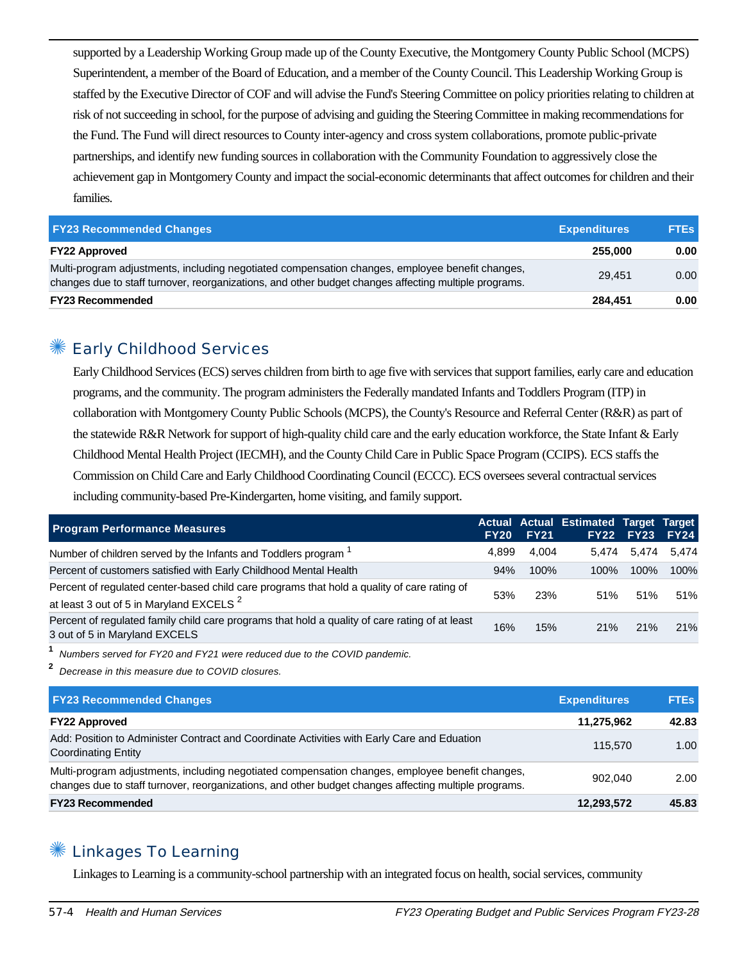supported by a Leadership Working Group made up of the County Executive, the Montgomery County Public School (MCPS) Superintendent, a member of the Board of Education, and a member of the County Council. This Leadership Working Group is staffed by the Executive Director of COF and will advise the Fund's Steering Committee on policy priorities relating to children at risk of not succeeding in school, for the purpose of advising and guiding the Steering Committee in making recommendations for the Fund. The Fund will direct resources to County inter-agency and cross system collaborations, promote public-private partnerships, and identify new funding sources in collaboration with the Community Foundation to aggressively close the achievement gap in Montgomery County and impact the social-economic determinants that affect outcomes for children and their families.

| <b>FY23 Recommended Changes</b>                                                                                                                                                                          | <b>Expenditures</b> | <b>FTEs</b> |
|----------------------------------------------------------------------------------------------------------------------------------------------------------------------------------------------------------|---------------------|-------------|
| <b>FY22 Approved</b>                                                                                                                                                                                     | 255,000             | 0.00        |
| Multi-program adjustments, including negotiated compensation changes, employee benefit changes,<br>changes due to staff turnover, reorganizations, and other budget changes affecting multiple programs. | 29.451              | 0.00        |
| <b>FY23 Recommended</b>                                                                                                                                                                                  | 284.451             | 0.00        |

#### Early Childhood Services

Early Childhood Services (ECS) serves children from birth to age five with services that support families, early care and education programs, and the community. The program administers the Federally mandated Infants and Toddlers Program (ITP) in collaboration with Montgomery County Public Schools (MCPS), the County's Resource and Referral Center (R&R) as part of the statewide R&R Network for support of high-quality child care and the early education workforce, the State Infant & Early Childhood Mental Health Project (IECMH), and the County Child Care in Public Space Program (CCIPS). ECS staffs the Commission on Child Care and Early Childhood Coordinating Council (ECCC). ECS oversees several contractual services including community-based Pre-Kindergarten, home visiting, and family support.

| <b>Program Performance Measures</b>                                                                                                                | <b>FY20</b> | <b>FY21</b> | Actual Actual Estimated Target Target | <b>FY22 FY23</b> | <b>FY24</b> |
|----------------------------------------------------------------------------------------------------------------------------------------------------|-------------|-------------|---------------------------------------|------------------|-------------|
| Number of children served by the Infants and Toddlers program <sup>1</sup>                                                                         | 4.899       | 4.004       | 5.474                                 | 5.474            | 5.474       |
| Percent of customers satisfied with Early Childhood Mental Health                                                                                  | 94%         | 100%        | 100%                                  | $100\%$          | 100%        |
| Percent of regulated center-based child care programs that hold a quality of care rating of<br>at least 3 out of 5 in Maryland EXCELS <sup>2</sup> | 53%         | 23%         | 51%                                   | 51%              | 51%         |
| Percent of regulated family child care programs that hold a quality of care rating of at least<br>3 out of 5 in Maryland EXCELS                    | 16%         | 15%         | 21%                                   | 21%              | 21%         |

**1** Numbers served for FY20 and FY21 were reduced due to the COVID pandemic.

**2** Decrease in this measure due to COVID closures.

| <b>FY23 Recommended Changes</b>                                                                                                                                                                          | <b>Expenditures</b> | <b>FTEs</b> |
|----------------------------------------------------------------------------------------------------------------------------------------------------------------------------------------------------------|---------------------|-------------|
| <b>FY22 Approved</b>                                                                                                                                                                                     | 11.275.962          | 42.83       |
| Add: Position to Administer Contract and Coordinate Activities with Early Care and Eduation<br><b>Coordinating Entity</b>                                                                                | 115,570             | 1.00        |
| Multi-program adjustments, including negotiated compensation changes, employee benefit changes,<br>changes due to staff turnover, reorganizations, and other budget changes affecting multiple programs. | 902.040             | 2.00        |
| <b>FY23 Recommended</b>                                                                                                                                                                                  | 12,293,572          | 45.83       |

#### **Linkages To Learning**

Linkages to Learning is a community-school partnership with an integrated focus on health, social services, community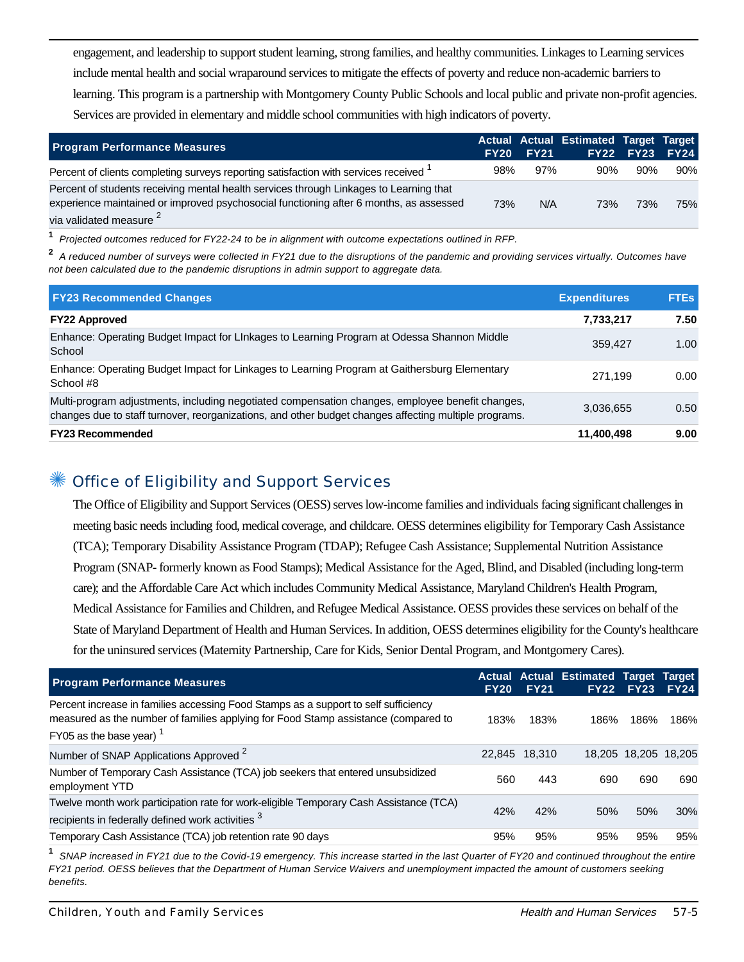engagement, and leadership to support student learning, strong families, and healthy communities. Linkages to Learning services include mental health and social wraparound services to mitigate the effects of poverty and reduce non-academic barriers to learning. This program is a partnership with Montgomery County Public Schools and local public and private non-profit agencies. Services are provided in elementary and middle school communities with high indicators of poverty.

| <b>Program Performance Measures</b>                                                                                                                                                                                    |     | <b>FY20 FY21</b> | Actual Actual Estimated Target Target | <b>FY22 FY23 FY24</b> |     |
|------------------------------------------------------------------------------------------------------------------------------------------------------------------------------------------------------------------------|-----|------------------|---------------------------------------|-----------------------|-----|
| Percent of clients completing surveys reporting satisfaction with services received <sup>1</sup>                                                                                                                       | 98% | 97%              | $90\%$                                | 90%                   | 90% |
| Percent of students receiving mental health services through Linkages to Learning that<br>experience maintained or improved psychosocial functioning after 6 months, as assessed<br>via validated measure <sup>2</sup> | 73% | N/A              | 73%                                   | 73%                   | 75% |

**1** Projected outcomes reduced for FY22-24 to be in alignment with outcome expectations outlined in RFP.

**2** A reduced number of surveys were collected in FY21 due to the disruptions of the pandemic and providing services virtually. Outcomes have not been calculated due to the pandemic disruptions in admin support to aggregate data.

| <b>FY23 Recommended Changes</b>                                                                                                                                                                          | <b>Expenditures</b> | <b>FTEs</b> |
|----------------------------------------------------------------------------------------------------------------------------------------------------------------------------------------------------------|---------------------|-------------|
| <b>FY22 Approved</b>                                                                                                                                                                                     | 7,733,217           | 7.50        |
| Enhance: Operating Budget Impact for Linkages to Learning Program at Odessa Shannon Middle<br>School                                                                                                     | 359.427             | 1.00        |
| Enhance: Operating Budget Impact for Linkages to Learning Program at Gaithersburg Elementary<br>School #8                                                                                                | 271.199             | 0.00        |
| Multi-program adjustments, including negotiated compensation changes, employee benefit changes,<br>changes due to staff turnover, reorganizations, and other budget changes affecting multiple programs. | 3,036,655           | 0.50        |
| <b>FY23 Recommended</b>                                                                                                                                                                                  | 11,400,498          | 9.00        |

#### Office of Eligibility and Support Services

The Office of Eligibility and Support Services (OESS) serves low-income families and individuals facing significant challenges in meeting basic needs including food, medical coverage, and childcare. OESS determines eligibility for Temporary Cash Assistance (TCA); Temporary Disability Assistance Program (TDAP); Refugee Cash Assistance; Supplemental Nutrition Assistance Program (SNAP- formerly known as Food Stamps); Medical Assistance for the Aged, Blind, and Disabled (including long-term care); and the Affordable Care Act which includes Community Medical Assistance, Maryland Children's Health Program, Medical Assistance for Families and Children, and Refugee Medical Assistance. OESS provides these services on behalf of the State of Maryland Department of Health and Human Services. In addition, OESS determines eligibility for the County's healthcare for the uninsured services (Maternity Partnership, Care for Kids, Senior Dental Program, and Montgomery Cares).

| <b>Program Performance Measures</b>                                                                                                                                                                     | <b>FY20</b> | <b>FY21</b>   | Actual Actual Estimated Target Target | <b>FY22 FY23</b> | <b>FY24</b>          |
|---------------------------------------------------------------------------------------------------------------------------------------------------------------------------------------------------------|-------------|---------------|---------------------------------------|------------------|----------------------|
| Percent increase in families accessing Food Stamps as a support to self sufficiency<br>measured as the number of families applying for Food Stamp assistance (compared to<br>FY05 as the base year) $1$ | 183%        | 183%          | 186%                                  | 186%             | 186%                 |
| Number of SNAP Applications Approved <sup>2</sup>                                                                                                                                                       |             | 22,845 18,310 |                                       |                  | 18,205 18,205 18,205 |
| Number of Temporary Cash Assistance (TCA) job seekers that entered unsubsidized<br>employment YTD                                                                                                       | 560         | 443           | 690                                   | 690              | 690                  |
| Twelve month work participation rate for work-eligible Temporary Cash Assistance (TCA)<br>recipients in federally defined work activities 3                                                             | 42%         | 42%           | 50%                                   | 50%              | 30%                  |
| Temporary Cash Assistance (TCA) job retention rate 90 days                                                                                                                                              | 95%         | 95%           | 95%                                   | 95%              | 95%                  |

**1** SNAP increased in FY21 due to the Covid-19 emergency. This increase started in the last Quarter of FY20 and continued throughout the entire FY21 period. OESS believes that the Department of Human Service Waivers and unemployment impacted the amount of customers seeking benefits.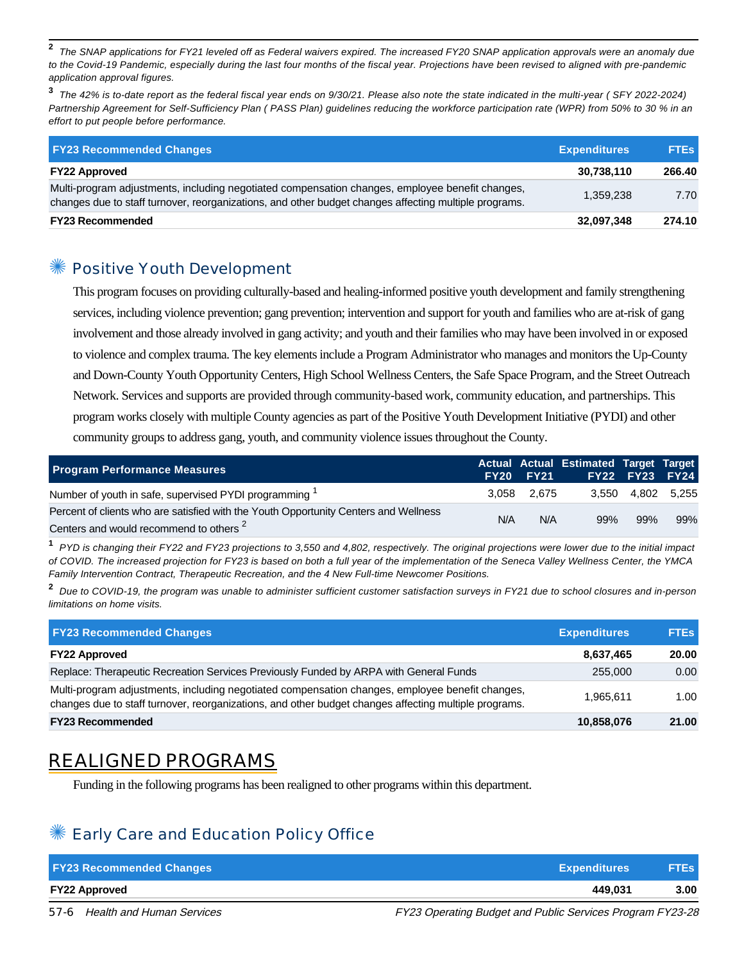**2** The SNAP applications for FY21 leveled off as Federal waivers expired. The increased FY20 SNAP application approvals were an anomaly due to the Covid-19 Pandemic, especially during the last four months of the fiscal year. Projections have been revised to aligned with pre-pandemic application approval figures.

**3** The 42% is to-date report as the federal fiscal year ends on 9/30/21. Please also note the state indicated in the multi-year ( SFY 2022-2024) Partnership Agreement for Self-Sufficiency Plan ( PASS Plan) guidelines reducing the workforce participation rate (WPR) from 50% to 30 % in an effort to put people before performance.

| <b>FY23 Recommended Changes</b>                                                                                                                                                                          | <b>Expenditures</b> | <b>FTEs</b> |
|----------------------------------------------------------------------------------------------------------------------------------------------------------------------------------------------------------|---------------------|-------------|
| <b>FY22 Approved</b>                                                                                                                                                                                     | 30,738,110          | 266.40      |
| Multi-program adjustments, including negotiated compensation changes, employee benefit changes,<br>changes due to staff turnover, reorganizations, and other budget changes affecting multiple programs. | 1.359.238           | 7.70        |
| <b>FY23 Recommended</b>                                                                                                                                                                                  | 32,097,348          | 274.10      |

#### Positive Youth Development

This program focuses on providing culturally-based and healing-informed positive youth development and family strengthening services, including violence prevention; gang prevention; intervention and support for youth and families who are at-risk of gang involvement and those already involved in gang activity; and youth and their families who may have been involved in or exposed to violence and complex trauma. The key elements include a Program Administrator who manages and monitors the Up-County and Down-County Youth Opportunity Centers, High School Wellness Centers, the Safe Space Program, and the Street Outreach Network. Services and supports are provided through community-based work, community education, and partnerships. This program works closely with multiple County agencies as part of the Positive Youth Development Initiative (PYDI) and other community groups to address gang, youth, and community violence issues throughout the County.

| <b>Program Performance Measures</b>                                                                                                        |     | <b>FY20 FY21</b> | Actual Actual Estimated Target Target | FY22 FY23 FY24    |     |
|--------------------------------------------------------------------------------------------------------------------------------------------|-----|------------------|---------------------------------------|-------------------|-----|
| Number of youth in safe, supervised PYDI programming <sup>1</sup>                                                                          |     | 3.058 2.675      |                                       | 3.550 4.802 5.255 |     |
| Percent of clients who are satisfied with the Youth Opportunity Centers and Wellness<br>Centers and would recommend to others <sup>2</sup> | N/A | N/A              | 99%                                   | 99%               | 99% |

**1** PYD is changing their FY22 and FY23 projections to 3,550 and 4,802, respectively. The original projections were lower due to the initial impact of COVID. The increased projection for FY23 is based on both a full year of the implementation of the Seneca Valley Wellness Center, the YMCA Family Intervention Contract, Therapeutic Recreation, and the 4 New Full-time Newcomer Positions.

**2** Due to COVID-19, the program was unable to administer sufficient customer satisfaction surveys in FY21 due to school closures and in-person limitations on home visits.

| <b>FY23 Recommended Changes</b>                                                                                                                                                                          | <b>Expenditures</b> | <b>FTEs</b>       |
|----------------------------------------------------------------------------------------------------------------------------------------------------------------------------------------------------------|---------------------|-------------------|
| <b>FY22 Approved</b>                                                                                                                                                                                     | 8,637,465           | 20.00             |
| Replace: Therapeutic Recreation Services Previously Funded by ARPA with General Funds                                                                                                                    | 255,000             | 0.00              |
| Multi-program adjustments, including negotiated compensation changes, employee benefit changes,<br>changes due to staff turnover, reorganizations, and other budget changes affecting multiple programs. | 1.965.611           | 1.00 <sub>1</sub> |
| <b>FY23 Recommended</b>                                                                                                                                                                                  | 10,858,076          | 21.00             |

# REALIGNED PROGRAMS

Funding in the following programs has been realigned to other programs within this department.

## Early Care and Education Policy Office

| <b>FY23 Recommended Changes</b> | <b>Expenditures</b> | <b>FTEs</b> |
|---------------------------------|---------------------|-------------|
| <b>FY22 Approved</b>            | 449.031             | 3.00        |

57-6 Health and Human Services FREE FREE FY23 Operating Budget and Public Services Program FY23-28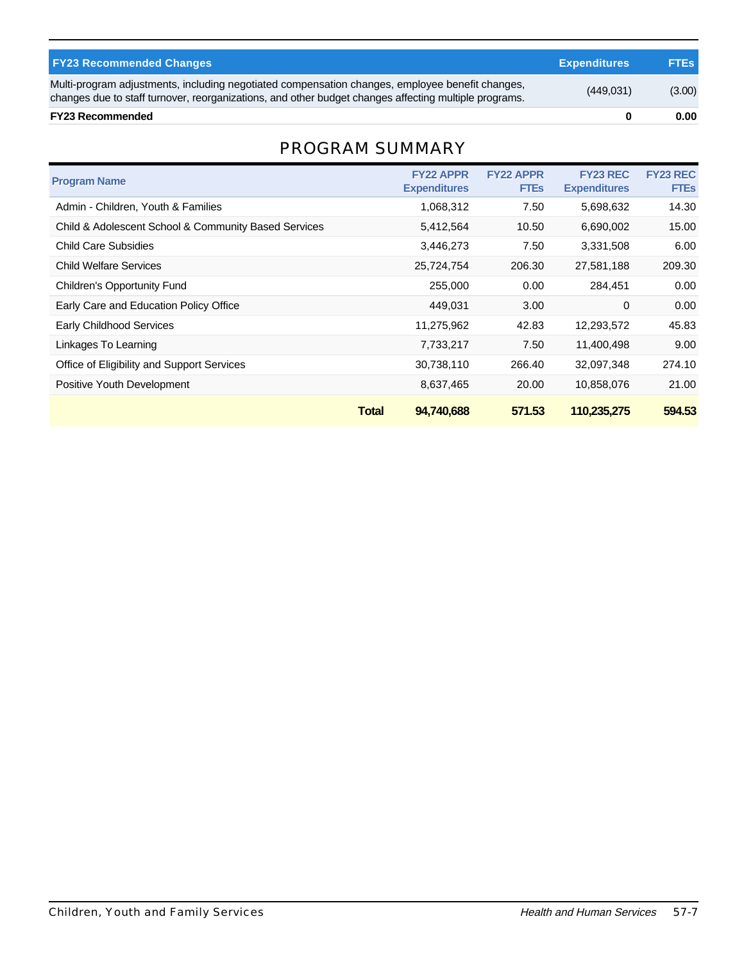| <b>FY23 Recommended Changes</b>                                                                                                                                                                          | <b>Expenditures</b> | <b>FTES</b> |
|----------------------------------------------------------------------------------------------------------------------------------------------------------------------------------------------------------|---------------------|-------------|
| Multi-program adjustments, including negotiated compensation changes, employee benefit changes,<br>changes due to staff turnover, reorganizations, and other budget changes affecting multiple programs. | (449, 031)          | (3.00)      |
| <b>FY23 Recommended</b>                                                                                                                                                                                  |                     | 0.00        |

### PROGRAM SUMMARY

| <b>Program Name</b>                                  |              | <b>FY22 APPR</b><br><b>Expenditures</b> | <b>FY22 APPR</b><br><b>FTEs</b> | <b>FY23 REC</b><br><b>Expenditures</b> | <b>FY23 REC</b><br><b>FTEs</b> |
|------------------------------------------------------|--------------|-----------------------------------------|---------------------------------|----------------------------------------|--------------------------------|
| Admin - Children, Youth & Families                   |              | 1,068,312                               | 7.50                            | 5,698,632                              | 14.30                          |
| Child & Adolescent School & Community Based Services |              | 5,412,564                               | 10.50                           | 6,690,002                              | 15.00                          |
| Child Care Subsidies                                 |              | 3,446,273                               | 7.50                            | 3,331,508                              | 6.00                           |
| <b>Child Welfare Services</b>                        |              | 25,724,754                              | 206.30                          | 27,581,188                             | 209.30                         |
| Children's Opportunity Fund                          |              | 255,000                                 | 0.00                            | 284,451                                | 0.00                           |
| Early Care and Education Policy Office               |              | 449.031                                 | 3.00                            | 0                                      | 0.00                           |
| <b>Early Childhood Services</b>                      |              | 11,275,962                              | 42.83                           | 12,293,572                             | 45.83                          |
| Linkages To Learning                                 |              | 7,733,217                               | 7.50                            | 11,400,498                             | 9.00                           |
| Office of Eligibility and Support Services           |              | 30,738,110                              | 266.40                          | 32,097,348                             | 274.10                         |
| Positive Youth Development                           |              | 8,637,465                               | 20.00                           | 10,858,076                             | 21.00                          |
|                                                      | <b>Total</b> | 94.740.688                              | 571.53                          | 110,235,275                            | 594.53                         |